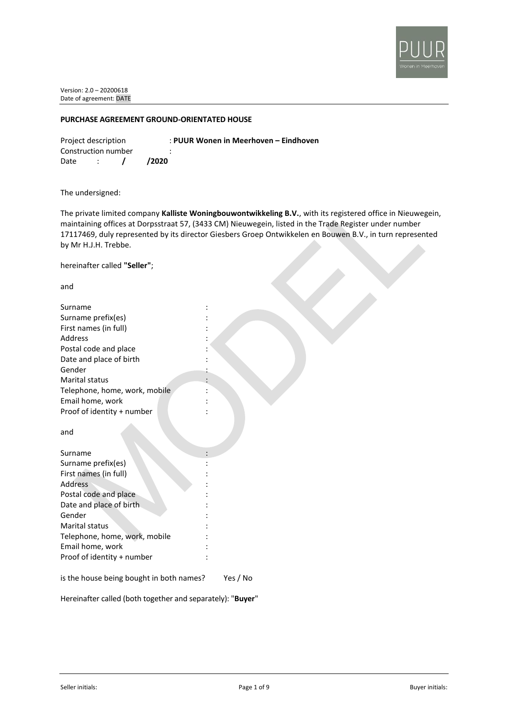

### **PURCHASE AGREEMENT GROUND-ORIENTATED HOUSE**

Construction number : Date : **/ /2020**

Project description : **PUUR Wonen in Meerhoven – Eindhoven**

The undersigned:

The private limited company **Kalliste Woningbouwontwikkeling B.V.**, with its registered office in Nieuwegein, maintaining offices at Dorpsstraat 57, (3433 CM) Nieuwegein, listed in the Trade Register under number 17117469, duly represented by its director Giesbers Groep Ontwikkelen en Bouwen B.V., in turn represented by Mr H.J.H. Trebbe.

hereinafter called **"Seller"**;

and

| Surname                                |  |
|----------------------------------------|--|
| Surname prefix(es)                     |  |
| First names (in full)                  |  |
| Address                                |  |
| Postal code and place                  |  |
| Date and place of birth                |  |
| Gender                                 |  |
| Marital status                         |  |
| Telephone, home, work, mobile          |  |
| Email home, work                       |  |
| Proof of identity + number             |  |
|                                        |  |
| and                                    |  |
|                                        |  |
| Surname                                |  |
| Surname prefix(es)                     |  |
| First names (in full)                  |  |
| Address                                |  |
| Postal code and place                  |  |
| Date and place of birth                |  |
| Gender                                 |  |
| <b>Marital status</b>                  |  |
| Telephone, home, work, mobile          |  |
| Email home, work                       |  |
| Proof of identity + number             |  |
| والمارين والمستحدث والمستحدث والمستحدث |  |
|                                        |  |

is the house being bought in both names? Yes / No

Hereinafter called (both together and separately): "**Buyer**"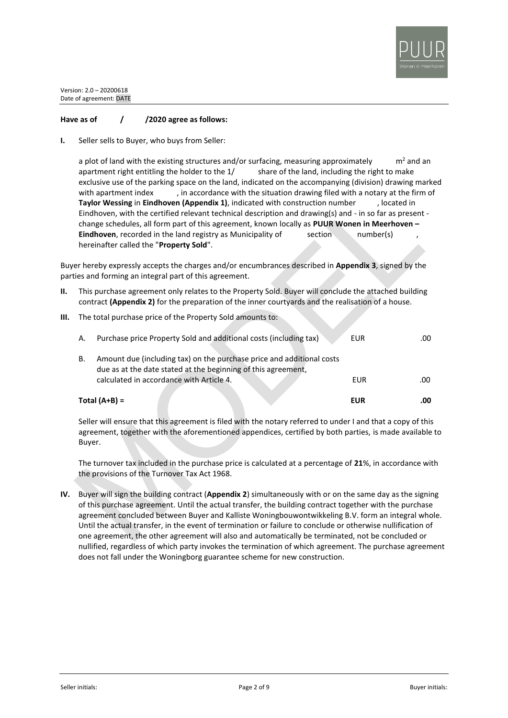

# **Have as of / /2020 agree as follows:**

**I.** Seller sells to Buyer, who buys from Seller:

a plot of land with the existing structures and/or surfacing, measuring approximately  $m^2$  and an apartment right entitling the holder to the 1/ share of the land, including the right to make exclusive use of the parking space on the land, indicated on the accompanying (division) drawing marked with apartment index , in accordance with the situation drawing filed with a notary at the firm of **Taylor Wessing** in **Eindhoven (Appendix 1)**, indicated with construction number , located in Eindhoven, with the certified relevant technical description and drawing(s) and - in so far as present change schedules, all form part of this agreement, known locally as **PUUR Wonen in Meerhoven – Eindhoven**, recorded in the land registry as Municipality of section number(s) hereinafter called the "**Property Sold**".

Buyer hereby expressly accepts the charges and/or encumbrances described in **Appendix 3**, signed by the parties and forming an integral part of this agreement.

- **II.** This purchase agreement only relates to the Property Sold. Buyer will conclude the attached building contract **(Appendix 2)** for the preparation of the inner courtyards and the realisation of a house.
- **III.** The total purchase price of the Property Sold amounts to:

|    | Total $(A+B)$ =                                                                                                                                                                    | EUR | .00 |
|----|------------------------------------------------------------------------------------------------------------------------------------------------------------------------------------|-----|-----|
| В. | Amount due (including tax) on the purchase price and additional costs<br>due as at the date stated at the beginning of this agreement,<br>calculated in accordance with Article 4. | EUR | .00 |
| Α. | Purchase price Property Sold and additional costs (including tax)                                                                                                                  | EUR | .00 |

Seller will ensure that this agreement is filed with the notary referred to under I and that a copy of this agreement, together with the aforementioned appendices, certified by both parties, is made available to Buyer.

The turnover tax included in the purchase price is calculated at a percentage of **21**%, in accordance with the provisions of the Turnover Tax Act 1968.

**IV.** Buyer will sign the building contract (**Appendix 2**) simultaneously with or on the same day as the signing of this purchase agreement. Until the actual transfer, the building contract together with the purchase agreement concluded between Buyer and Kalliste Woningbouwontwikkeling B.V. form an integral whole. Until the actual transfer, in the event of termination or failure to conclude or otherwise nullification of one agreement, the other agreement will also and automatically be terminated, not be concluded or nullified, regardless of which party invokes the termination of which agreement. The purchase agreement does not fall under the Woningborg guarantee scheme for new construction.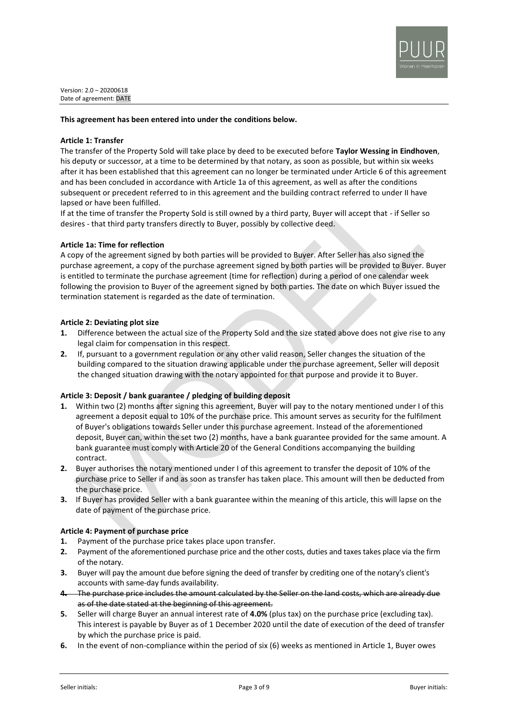

### **This agreement has been entered into under the conditions below.**

### **Article 1: Transfer**

The transfer of the Property Sold will take place by deed to be executed before **Taylor Wessing in Eindhoven**, his deputy or successor, at a time to be determined by that notary, as soon as possible, but within six weeks after it has been established that this agreement can no longer be terminated under Article 6 of this agreement and has been concluded in accordance with Article 1a of this agreement, as well as after the conditions subsequent or precedent referred to in this agreement and the building contract referred to under II have lapsed or have been fulfilled.

If at the time of transfer the Property Sold is still owned by a third party, Buyer will accept that - if Seller so desires - that third party transfers directly to Buyer, possibly by collective deed.

### **Article 1a: Time for reflection**

A copy of the agreement signed by both parties will be provided to Buyer. After Seller has also signed the purchase agreement, a copy of the purchase agreement signed by both parties will be provided to Buyer. Buyer is entitled to terminate the purchase agreement (time for reflection) during a period of one calendar week following the provision to Buyer of the agreement signed by both parties. The date on which Buyer issued the termination statement is regarded as the date of termination.

#### **Article 2: Deviating plot size**

- **1.** Difference between the actual size of the Property Sold and the size stated above does not give rise to any legal claim for compensation in this respect.
- **2.** If, pursuant to a government regulation or any other valid reason, Seller changes the situation of the building compared to the situation drawing applicable under the purchase agreement, Seller will deposit the changed situation drawing with the notary appointed for that purpose and provide it to Buyer.

# **Article 3: Deposit / bank guarantee / pledging of building deposit**

- **1.** Within two (2) months after signing this agreement, Buyer will pay to the notary mentioned under I of this agreement a deposit equal to 10% of the purchase price. This amount serves as security for the fulfilment of Buyer's obligations towards Seller under this purchase agreement. Instead of the aforementioned deposit, Buyer can, within the set two (2) months, have a bank guarantee provided for the same amount. A bank guarantee must comply with Article 20 of the General Conditions accompanying the building contract.
- **2.** Buyer authorises the notary mentioned under I of this agreement to transfer the deposit of 10% of the purchase price to Seller if and as soon as transfer has taken place. This amount will then be deducted from the purchase price.
- **3.** If Buyer has provided Seller with a bank guarantee within the meaning of this article, this will lapse on the date of payment of the purchase price.

# **Article 4: Payment of purchase price**

- **1.** Payment of the purchase price takes place upon transfer.
- **2.** Payment of the aforementioned purchase price and the other costs, duties and taxes takes place via the firm of the notary.
- **3.** Buyer will pay the amount due before signing the deed of transfer by crediting one of the notary's client's accounts with same-day funds availability.
- **4.** The purchase price includes the amount calculated by the Seller on the land costs, which are already due as of the date stated at the beginning of this agreement.
- **5.** Seller will charge Buyer an annual interest rate of **4.0%** (plus tax) on the purchase price (excluding tax). This interest is payable by Buyer as of 1 December 2020 until the date of execution of the deed of transfer by which the purchase price is paid.
- **6.** In the event of non-compliance within the period of six (6) weeks as mentioned in Article 1, Buyer owes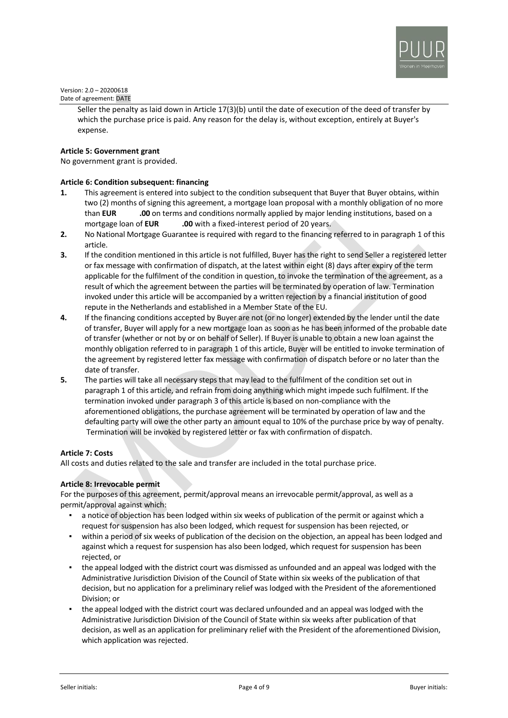

> Seller the penalty as laid down in Article 17(3)(b) until the date of execution of the deed of transfer by which the purchase price is paid. Any reason for the delay is, without exception, entirely at Buyer's expense.

# **Article 5: Government grant**

No government grant is provided.

# **Article 6: Condition subsequent: financing**

- **1.** This agreement is entered into subject to the condition subsequent that Buyer that Buyer obtains, within two (2) months of signing this agreement, a mortgage loan proposal with a monthly obligation of no more than **EUR** ... **.00** on terms and conditions normally applied by major lending institutions, based on a mortgage loan of **EUR .00** with a fixed-interest period of 20 years.
- **2.** No National Mortgage Guarantee is required with regard to the financing referred to in paragraph 1 of this article.
- **3.** If the condition mentioned in this article is not fulfilled, Buyer has the right to send Seller a registered letter or fax message with confirmation of dispatch, at the latest within eight (8) days after expiry of the term applicable for the fulfilment of the condition in question, to invoke the termination of the agreement, as a result of which the agreement between the parties will be terminated by operation of law. Termination invoked under this article will be accompanied by a written rejection by a financial institution of good repute in the Netherlands and established in a Member State of the EU.
- **4.** If the financing conditions accepted by Buyer are not (or no longer) extended by the lender until the date of transfer, Buyer will apply for a new mortgage loan as soon as he has been informed of the probable date of transfer (whether or not by or on behalf of Seller). If Buyer is unable to obtain a new loan against the monthly obligation referred to in paragraph 1 of this article, Buyer will be entitled to invoke termination of the agreement by registered letter fax message with confirmation of dispatch before or no later than the date of transfer.
- **5.** The parties will take all necessary steps that may lead to the fulfilment of the condition set out in paragraph 1 of this article, and refrain from doing anything which might impede such fulfilment. If the termination invoked under paragraph 3 of this article is based on non-compliance with the aforementioned obligations, the purchase agreement will be terminated by operation of law and the defaulting party will owe the other party an amount equal to 10% of the purchase price by way of penalty. Termination will be invoked by registered letter or fax with confirmation of dispatch.

# **Article 7: Costs**

All costs and duties related to the sale and transfer are included in the total purchase price.

### **Article 8: Irrevocable permit**

For the purposes of this agreement, permit/approval means an irrevocable permit/approval, as well as a permit/approval against which:

- a notice of objection has been lodged within six weeks of publication of the permit or against which a request for suspension has also been lodged, which request for suspension has been rejected, or
- within a period of six weeks of publication of the decision on the objection, an appeal has been lodged and against which a request for suspension has also been lodged, which request for suspension has been rejected, or
- the appeal lodged with the district court was dismissed as unfounded and an appeal was lodged with the Administrative Jurisdiction Division of the Council of State within six weeks of the publication of that decision, but no application for a preliminary relief was lodged with the President of the aforementioned Division; or
- the appeal lodged with the district court was declared unfounded and an appeal was lodged with the Administrative Jurisdiction Division of the Council of State within six weeks after publication of that decision, as well as an application for preliminary relief with the President of the aforementioned Division, which application was rejected.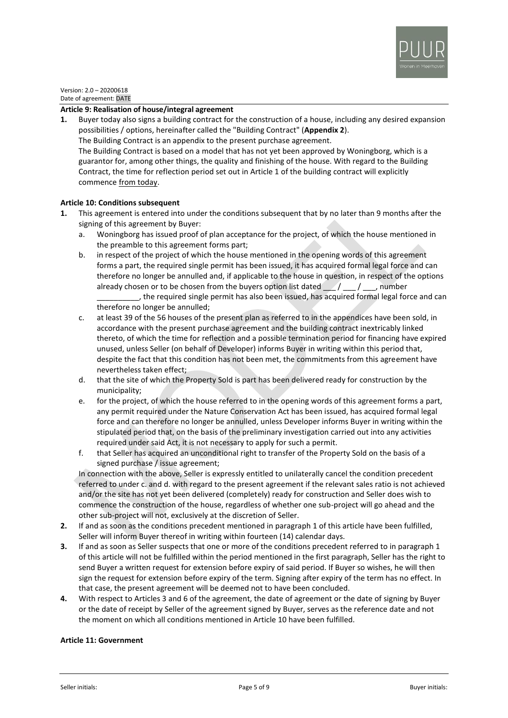

### **Article 9: Realisation of house/integral agreement**

**1.** Buyer today also signs a building contract for the construction of a house, including any desired expansion possibilities / options, hereinafter called the "Building Contract" (**Appendix 2**). The Building Contract is an appendix to the present purchase agreement. The Building Contract is based on a model that has not yet been approved by Woningborg, which is a guarantor for, among other things, the quality and finishing of the house. With regard to the Building Contract, the time for reflection period set out in Article 1 of the building contract will explicitly commence from today.

### **Article 10: Conditions subsequent**

- **1.** This agreement is entered into under the conditions subsequent that by no later than 9 months after the signing of this agreement by Buyer:
	- a. Woningborg has issued proof of plan acceptance for the project, of which the house mentioned in the preamble to this agreement forms part;
	- b. in respect of the project of which the house mentioned in the opening words of this agreement forms a part, the required single permit has been issued, it has acquired formal legal force and can therefore no longer be annulled and, if applicable to the house in question, in respect of the options already chosen or to be chosen from the buyers option list dated  $\frac{1}{2}$ , number , the required single permit has also been issued, has acquired formal legal force and can therefore no longer be annulled;
	- c. at least 39 of the 56 houses of the present plan as referred to in the appendices have been sold, in accordance with the present purchase agreement and the building contract inextricably linked thereto, of which the time for reflection and a possible termination period for financing have expired unused, unless Seller (on behalf of Developer) informs Buyer in writing within this period that, despite the fact that this condition has not been met, the commitments from this agreement have nevertheless taken effect;
	- d. that the site of which the Property Sold is part has been delivered ready for construction by the municipality;
	- e. for the project, of which the house referred to in the opening words of this agreement forms a part, any permit required under the Nature Conservation Act has been issued, has acquired formal legal force and can therefore no longer be annulled, unless Developer informs Buyer in writing within the stipulated period that, on the basis of the preliminary investigation carried out into any activities required under said Act, it is not necessary to apply for such a permit.
	- f. that Seller has acquired an unconditional right to transfer of the Property Sold on the basis of a signed purchase / issue agreement;

In connection with the above, Seller is expressly entitled to unilaterally cancel the condition precedent referred to under c. and d. with regard to the present agreement if the relevant sales ratio is not achieved and/or the site has not yet been delivered (completely) ready for construction and Seller does wish to commence the construction of the house, regardless of whether one sub-project will go ahead and the other sub-project will not, exclusively at the discretion of Seller.

- **2.** If and as soon as the conditions precedent mentioned in paragraph 1 of this article have been fulfilled, Seller will inform Buyer thereof in writing within fourteen (14) calendar days.
- **3.** If and as soon as Seller suspects that one or more of the conditions precedent referred to in paragraph 1 of this article will not be fulfilled within the period mentioned in the first paragraph, Seller has the right to send Buyer a written request for extension before expiry of said period. If Buyer so wishes, he will then sign the request for extension before expiry of the term. Signing after expiry of the term has no effect. In that case, the present agreement will be deemed not to have been concluded.
- **4.** With respect to Articles 3 and 6 of the agreement, the date of agreement or the date of signing by Buyer or the date of receipt by Seller of the agreement signed by Buyer, serves as the reference date and not the moment on which all conditions mentioned in Article 10 have been fulfilled.

#### **Article 11: Government**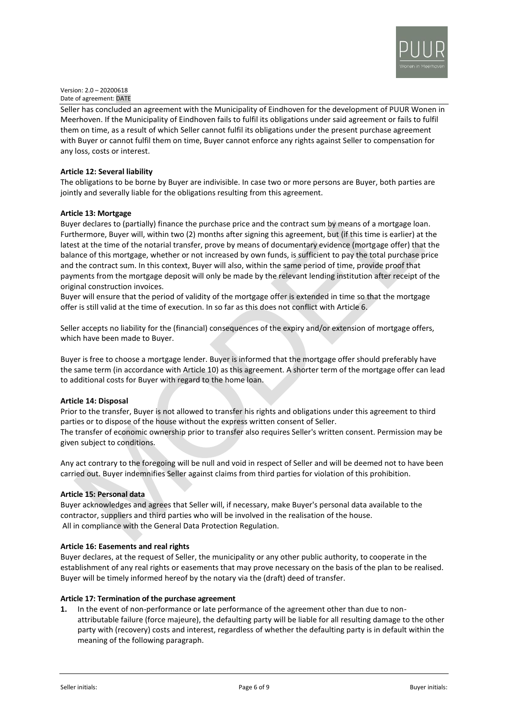

Seller has concluded an agreement with the Municipality of Eindhoven for the development of PUUR Wonen in Meerhoven. If the Municipality of Eindhoven fails to fulfil its obligations under said agreement or fails to fulfil them on time, as a result of which Seller cannot fulfil its obligations under the present purchase agreement with Buyer or cannot fulfil them on time, Buyer cannot enforce any rights against Seller to compensation for any loss, costs or interest.

## **Article 12: Several liability**

The obligations to be borne by Buyer are indivisible. In case two or more persons are Buyer, both parties are jointly and severally liable for the obligations resulting from this agreement.

### **Article 13: Mortgage**

Buyer declares to (partially) finance the purchase price and the contract sum by means of a mortgage loan. Furthermore, Buyer will, within two (2) months after signing this agreement, but (if this time is earlier) at the latest at the time of the notarial transfer, prove by means of documentary evidence (mortgage offer) that the balance of this mortgage, whether or not increased by own funds, is sufficient to pay the total purchase price and the contract sum. In this context, Buyer will also, within the same period of time, provide proof that payments from the mortgage deposit will only be made by the relevant lending institution after receipt of the original construction invoices.

Buyer will ensure that the period of validity of the mortgage offer is extended in time so that the mortgage offer is still valid at the time of execution. In so far as this does not conflict with Article 6.

Seller accepts no liability for the (financial) consequences of the expiry and/or extension of mortgage offers, which have been made to Buyer.

Buyer is free to choose a mortgage lender. Buyer is informed that the mortgage offer should preferably have the same term (in accordance with Article 10) as this agreement. A shorter term of the mortgage offer can lead to additional costs for Buyer with regard to the home loan.

# **Article 14: Disposal**

Prior to the transfer, Buyer is not allowed to transfer his rights and obligations under this agreement to third parties or to dispose of the house without the express written consent of Seller. The transfer of economic ownership prior to transfer also requires Seller's written consent. Permission may be given subject to conditions.

Any act contrary to the foregoing will be null and void in respect of Seller and will be deemed not to have been carried out. Buyer indemnifies Seller against claims from third parties for violation of this prohibition.

#### **Article 15: Personal data**

Buyer acknowledges and agrees that Seller will, if necessary, make Buyer's personal data available to the contractor, suppliers and third parties who will be involved in the realisation of the house. All in compliance with the General Data Protection Regulation.

#### **Article 16: Easements and real rights**

Buyer declares, at the request of Seller, the municipality or any other public authority, to cooperate in the establishment of any real rights or easements that may prove necessary on the basis of the plan to be realised. Buyer will be timely informed hereof by the notary via the (draft) deed of transfer.

#### **Article 17: Termination of the purchase agreement**

**1.** In the event of non-performance or late performance of the agreement other than due to nonattributable failure (force majeure), the defaulting party will be liable for all resulting damage to the other party with (recovery) costs and interest, regardless of whether the defaulting party is in default within the meaning of the following paragraph.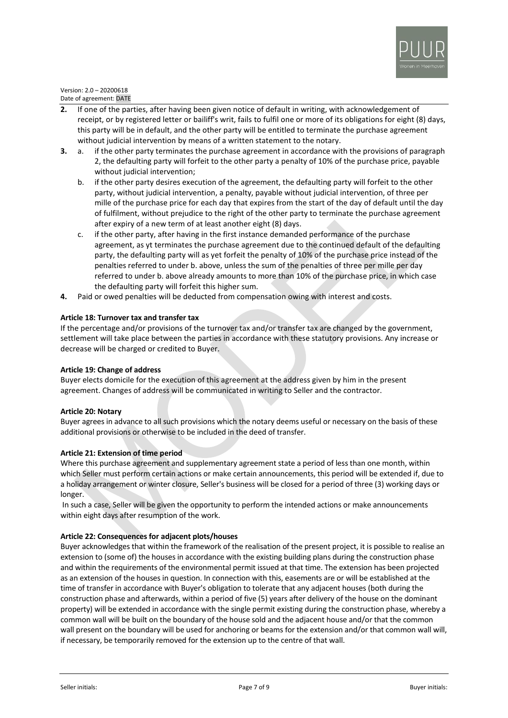

- **2.** If one of the parties, after having been given notice of default in writing, with acknowledgement of receipt, or by registered letter or bailiff's writ, fails to fulfil one or more of its obligations for eight (8) days, this party will be in default, and the other party will be entitled to terminate the purchase agreement without judicial intervention by means of a written statement to the notary.
- **3.** a. if the other party terminates the purchase agreement in accordance with the provisions of paragraph 2, the defaulting party will forfeit to the other party a penalty of 10% of the purchase price, payable without judicial intervention;
	- b. if the other party desires execution of the agreement, the defaulting party will forfeit to the other party, without judicial intervention, a penalty, payable without judicial intervention, of three per mille of the purchase price for each day that expires from the start of the day of default until the day of fulfilment, without prejudice to the right of the other party to terminate the purchase agreement after expiry of a new term of at least another eight (8) days.
	- c. if the other party, after having in the first instance demanded performance of the purchase agreement, as yt terminates the purchase agreement due to the continued default of the defaulting party, the defaulting party will as yet forfeit the penalty of 10% of the purchase price instead of the penalties referred to under b. above, unless the sum of the penalties of three per mille per day referred to under b. above already amounts to more than 10% of the purchase price, in which case the defaulting party will forfeit this higher sum.
- **4.** Paid or owed penalties will be deducted from compensation owing with interest and costs.

# **Article 18: Turnover tax and transfer tax**

If the percentage and/or provisions of the turnover tax and/or transfer tax are changed by the government, settlement will take place between the parties in accordance with these statutory provisions. Any increase or decrease will be charged or credited to Buyer.

# **Article 19: Change of address**

Buyer elects domicile for the execution of this agreement at the address given by him in the present agreement. Changes of address will be communicated in writing to Seller and the contractor.

# **Article 20: Notary**

Buyer agrees in advance to all such provisions which the notary deems useful or necessary on the basis of these additional provisions or otherwise to be included in the deed of transfer.

# **Article 21: Extension of time period**

Where this purchase agreement and supplementary agreement state a period of less than one month, within which Seller must perform certain actions or make certain announcements, this period will be extended if, due to a holiday arrangement or winter closure, Seller's business will be closed for a period of three (3) working days or longer.

In such a case, Seller will be given the opportunity to perform the intended actions or make announcements within eight days after resumption of the work.

# **Article 22: Consequences for adjacent plots/houses**

Buyer acknowledges that within the framework of the realisation of the present project, it is possible to realise an extension to (some of) the houses in accordance with the existing building plans during the construction phase and within the requirements of the environmental permit issued at that time. The extension has been projected as an extension of the houses in question. In connection with this, easements are or will be established at the time of transfer in accordance with Buyer's obligation to tolerate that any adjacent houses (both during the construction phase and afterwards, within a period of five (5) years after delivery of the house on the dominant property) will be extended in accordance with the single permit existing during the construction phase, whereby a common wall will be built on the boundary of the house sold and the adjacent house and/or that the common wall present on the boundary will be used for anchoring or beams for the extension and/or that common wall will, if necessary, be temporarily removed for the extension up to the centre of that wall.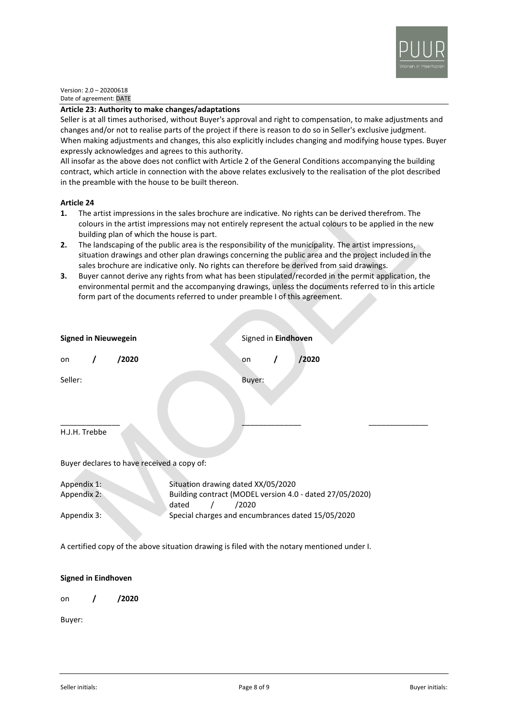

#### **Article 23: Authority to make changes/adaptations**

Seller is at all times authorised, without Buyer's approval and right to compensation, to make adjustments and changes and/or not to realise parts of the project if there is reason to do so in Seller's exclusive judgment. When making adjustments and changes, this also explicitly includes changing and modifying house types. Buyer expressly acknowledges and agrees to this authority.

All insofar as the above does not conflict with Article 2 of the General Conditions accompanying the building contract, which article in connection with the above relates exclusively to the realisation of the plot described in the preamble with the house to be built thereon.

### **Article 24**

- **1.** The artist impressions in the sales brochure are indicative. No rights can be derived therefrom. The colours in the artist impressions may not entirely represent the actual colours to be applied in the new building plan of which the house is part.
- **2.** The landscaping of the public area is the responsibility of the municipality. The artist impressions, situation drawings and other plan drawings concerning the public area and the project included in the sales brochure are indicative only. No rights can therefore be derived from said drawings.
- **3.** Buyer cannot derive any rights from what has been stipulated/recorded in the permit application, the environmental permit and the accompanying drawings, unless the documents referred to in this article form part of the documents referred to under preamble I of this agreement.

| <b>Signed in Nieuwegein</b>                                                                 |  |       | Signed in Eindhoven                                                        |  |        |  |                                                   |  |
|---------------------------------------------------------------------------------------------|--|-------|----------------------------------------------------------------------------|--|--------|--|---------------------------------------------------|--|
| on                                                                                          |  | /2020 |                                                                            |  | on     |  | /2020                                             |  |
| Seller:                                                                                     |  |       |                                                                            |  | Buyer: |  |                                                   |  |
| H.J.H. Trebbe                                                                               |  |       |                                                                            |  |        |  |                                                   |  |
| Buyer declares to have received a copy of:                                                  |  |       |                                                                            |  |        |  |                                                   |  |
| Appendix 1:                                                                                 |  |       | Situation drawing dated XX/05/2020                                         |  |        |  |                                                   |  |
| Appendix 2:                                                                                 |  |       | Building contract (MODEL version 4.0 - dated 27/05/2020)<br>dated<br>/2020 |  |        |  |                                                   |  |
| Appendix 3:                                                                                 |  |       |                                                                            |  |        |  | Special charges and encumbrances dated 15/05/2020 |  |
| A certified copy of the above situation drawing is filed with the notary mentioned under I. |  |       |                                                                            |  |        |  |                                                   |  |

# **Signed in Eindhoven**

on **/ /2020**

Buyer: